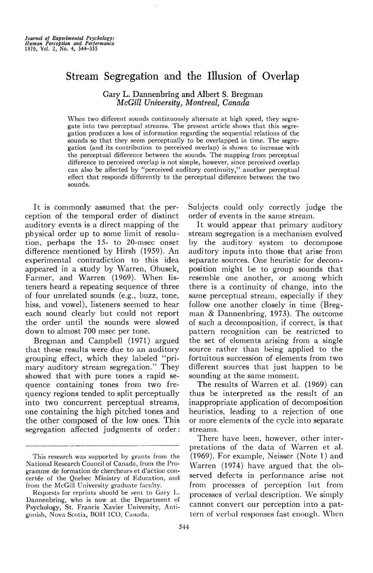# Stream Segregation and the Illusion of Overlap

Gary L. Dannenbring and Albert S. Bregman *McGill University, Montreal, Canada*

When two different sounds continuously alternate at high speed, they segregate into two perceptual streams. The present article shows that this segregation produces a loss of information regarding the sequential relations of the sounds so that they seem perceptually to be overlapped in time. The segregation (and its contribution to perceived overlap) is shown to increase with the perceptual difference between the sounds. The mapping from perceptual difference to perceived overlap is not simple, however, since perceived overlap can also be affected by "perceived auditory continuity," another perceptual effect that responds differently to the perceptual difference between the two sounds.

It is commonly assumed that the perception of the temporal order of distinct auditory events is a direct mapping of the physical order up to some limit of resolution, perhaps the 15- to 20-msec onset difference mentioned by Hirsh (1959). An experimental contradiction to this idea appeared in a study by Warren, Obusek, Farmer, and Warren (1969). When listeners heard a repeating sequence of three of four unrelated sounds (e.g., buzz, tone, hiss, and vowel), listeners seemed to hear each sound clearly but could not report the order until the sounds were slowed down to almost 700 msec per tone.

Bregman and Campbell (1971) argued that these results were due to an auditory grouping effect, which they labeled "primary auditory stream segregation." They showed that with pure tones a rapid sequence containing tones from two frequency regions tended to split perceptually into two concurrent perceptual streams, one containing the high pitched tones and the other composed of the low ones. This segregation affected judgments of order: Subjects could only correctly judge the order of events in the same stream.

It would appear that primary auditory stream segregation is a mechanism evolved by the auditory system to decompose auditory inputs into those that arise from separate sources. One heuristic for decomposition might be to group sounds that resemble one another, or among which there is a continuity of change, into the same perceptual stream, especially if they follow one another closely in time (Bregman & Dannenbring, 1973). The outcome of such a decomposition, if correct, is that pattern recognition can be restricted to the set of elements arising from a single source rather than being applied to the fortuitous succession of elements from two different sources that just happen to be sounding at the same moment.

The results of Warren et al. (1969) can thus be interpreted as the result of an inappropriate application of decomposition heuristics, leading to a rejection of one or more elements of the cycle into separate streams.

There have been, however, other interpretations of the data of Warren et al. (1969). For example, Neisser (Note 1) and Warren (1974) have argued that the observed defects in performance arise not from processes of perception but from processes of verbal description. We simply cannot convert our perception into a pattern of verbal responses fast enough. When

This research was supported by grants from the National Research Council of Canada, from the Programme de formation de chercheurs et d'action concertée of the Quebec Ministry of Education, and from the McGill University graduate faculty.

Requests for reprints should be sent to Gary L. Dannenbring, who is now at the Department of Psychology, St. Francis Xavier University, Antigonish, Nova Scotia, BOH ICO, Canada.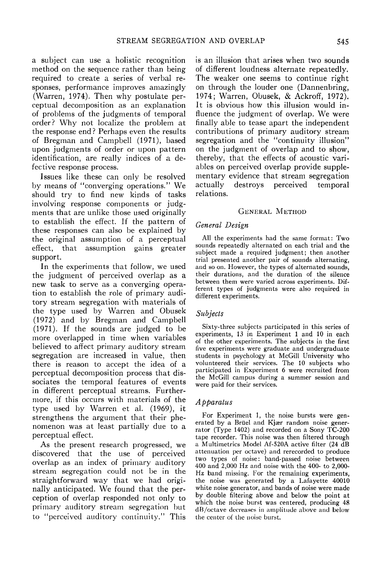a subject can use a holistic recognition method on the sequence rather than being required to create a series of verbal responses, performance improves amazingly (Warren, 1974). Then why postulate perceptual decomposition as an explanation of problems of the judgments of temporal order? Why not localize the problem at the response end? Perhaps even the results of Bregman and Campbell (1971), based upon judgments of order or upon pattern identification, are really indices of a defective response process.

Issues like these can only be resolved by means of "converging operations." We should try to find new kinds of tasks involving response components or judgments that are unlike those used originally to establish the effect. If the pattern of these responses can also be explained by the original assumption of a perceptual effect, that assumption gains greater support.

In the experiments that follow, we used the judgment of perceived overlap as a new task to serve as a converging operation to establish the role of primary auditory stream segregation with materials of the type used by Warren and Obusek (1972) and by Bregman and Campbell (1971). If the sounds are judged to be more overlapped in time when variables believed to affect primary auditory stream segregation are increased in value, then there is reason to accept the idea of a perceptual decomposition process that dissociates the temporal features of events in different perceptual streams. Furthermore, if this occurs with materials of the type used by Warren et al. (1969), it strengthens the argument that their phenomenon was at least partially due to a perceptual effect.

As the present research progressed, we discovered that the use of perceived overlap as an index of primary auditory stream segregation could not be in the straightforward way that we had originally anticipated. We found that the perception of overlap responded not only to primary auditory stream segregation but to "perceived auditory continuity." This is an illusion that arises when two sounds of different loudness alternate repeatedly. The weaker one seems to continue right on through the louder one (Dannenbring, 1974; Warren, Obusek, & Ackroff, 1972). It is obvious how this illusion would influence the judgment of overlap. We were finally able to tease apart the independent contributions of primary auditory stream segregation and the "continuity illusion" on the judgment of overlap and to show, thereby, that the effects of acoustic variables on perceived overlap provide supplementary evidence that stream segregation actually destroys perceived temporal relations.

# GENERAL METHOD

# *General Design*

All the experiments had the same format: Two sounds repeatedly alternated on each trial and the subject made a required judgment; then another trial presented another pair of sounds alternating, and so on. However, the types of alternated sounds, their durations, and the duration of the silence between them were varied across experiments. Different types of judgments were also required in different experiments.

### *Subjects*

Sixty-three subjects participated in this series of experiments, 13 in Experiment 1 and 10 in each of the other experiments. The subjects in the first five experiments were graduate and undergraduate students in psychology at McGill University who volunteered their services. The 10 subjects who participated in Experiment 6 were recruited from the McGill campus during a summer session and were paid for their services.

#### *Apparatus*

For Experiment 1, the noise bursts were generated by a Brüel and Kjær random noise generrator (Type 1402) and recorded on a Sony TC-200 tape recorder. This noise was then filtered through a Multimetrics Model Af-520A active filter (24 dB attenuation per octave) and rerecorded to produce two types of noise: band-passed noise between 400 and 2,000 Hz and noise with the 400- to 2,000- Hz band missing. For the remaining experiments, the noise was generated by a Lafayette 40010 white noise generator, and bands of noise were made by double filtering above and below the point at which the noise burst was centered, producing 48 dB/octave decreases in amplitude above and below the center of the noise burst.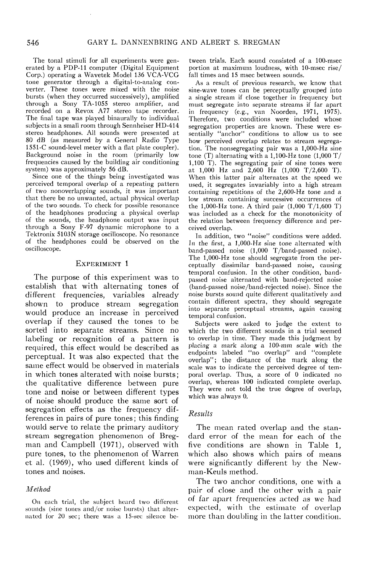The tonal stimuli for all experiments were generated by a PDP-11 computer (Digital Equipment Corp.) operating a Wavetek Model 136 VCA-VCG tone generator through a digital-to-analog converter. These tones were mixed with the noise bursts (when they occurred successively), amplified through a Sony TA-10SS stereo amplifier, and recorded on a Revox A77 stereo tape recorder. The final tape was played binaurally to individual subjects in a small room through Sennheiser HD-414 stereo headphones. All sounds were presented at 80 dB (as measured by a General Radio Type 1551-C sound-level meter with a flat plate coupler). Background noise in the room (primarily low frequencies caused by the building air conditioning system) was approximately 56 dB.

Since one of the things being investigated was perceived temporal overlap of a repeating pattern of two nonoverlapping sounds, it was important that there be no unwanted, actual physical overlap of the two sounds. To check for possible resonance of the headphones producing a physical overlap of the sounds, the headphone output was input through a Sony F-97 dynamic microphone to a Tektronix 5103N storage oscilloscope. No resonance of the headphones could be observed on the oscilloscope.

#### EXPERIMENT 1

The purpose of this experiment was to establish that with alternating tones of different frequencies, variables already shown to produce stream segregation would produce an increase in perceived overlap if they caused the tones to be sorted into separate streams. Since no labeling or recognition of a pattern is required, this effect would be described as perceptual. It was also expected that the same effect would be observed in materials in which tones alterated with noise bursts; the qualitative difference between pure tone and noise or between different types of noise should produce the same sort of segregation effects as the frequency differences in pairs of pure tones; this finding would serve to relate the primary auditory stream segregation phenomenon of Bregman and Campbell (1971), observed with pure tones, to the phenomenon of Warren et al. (1969), who used different kinds of tones and noises.

### *Method*

On each trial, the subject heard two different sounds (sine tones and/or noise bursts) that alternated for 20 sec; there was a 15-sec silence between trials. Each sound consisted of a 100-msec portion at maximum loudness, with 10-msec rise/ fall times and 15 msec between sounds.

As a result of previous research, we know that sine-wave tones can be perceptually grouped into a single stream if close together in frequency but must segregate into separate streams if far apart in frequency (e.g., van Noorden, 1971, 1975). Therefore, two conditions were included whose segregation properties are known. These were essentially "anchor" conditions to allow us to see how perceived overlap relates to stream segregation. The nonsegregating pair was a 1,000-Hz sine tone (T) alternating with a 1,100-Hz tone  $(1,000 \text{ T})$ 1,100 T). The segregating pair of sine tones were at 1,000 Hz and 2,600 Hz (1,000 T/2,600 T). When this latter pair alternates at the speed we used, it segregates invariably into a high stream containing repetitions of the 2,600-Hz tone and a low stream containing successive occurrences of the 1,000-Hz tone. A third pair  $(1,000 T/1,600 T)$ was included as a check for the monotonicity of the relation between frequency difference and perceived overlap.

In addition, two "noise" conditions were added. In the first, a 1,000-Hz sine tone alternated with band-passed noise (1,000 T/band-passed noise). The 1,000-Hz tone should segregate from the perceptually dissimilar band-passed noise, causing temporal confusion. In the other condition, bandpassed noise alternated with band-rejected noise (band-passed noise/band-rejected noise). Since the noise bursts sound quite different qualitatively and contain different spectra, they should segregate into separate perceptual streams, again causing temporal confusion.

Subjects were asked to judge the extent to which the two different sounds in a trial seemed to overlap in time. They made this judgment by placing a mark along a 100-mm scale with the endpoints labeled "no overlap" and "complete overlap"; the distance of the mark along the scale was to indicate the perceived degree of temporal overlap. Thus, a score of 0 indicated no overlap, whereas 100 indicated complete overlap. They were not told the true degree of overlap, which was always 0.

### *Results*

The mean rated overlap and the standard error of the mean for each of the five conditions are shown in Table 1, which also shows which pairs of means were significantly different by the Newman-Keuls method.

The two anchor conditions, one with a pair of close and the other with a pair of far apart frequencies acted as we had expected, with the estimate of overlap more than doubling in the latter condition.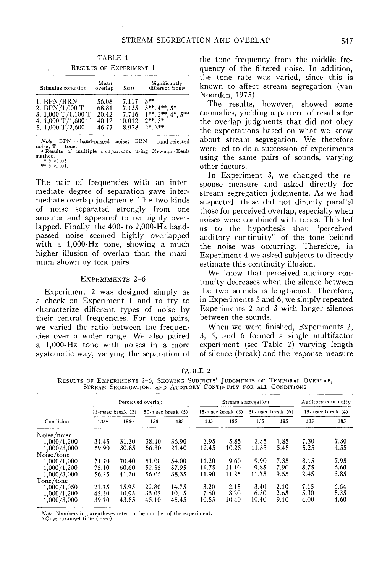Stimulu s condition 1. BPN/BRN 2. BPN/l.OOOT 68, 3. 4. 5. 1 ,000 T/2 ,600 T Mean overlap 56.08 1 1 ,000 ,000 T/l  $\rm T/1$ ,100 T ,600 T 20, ,42 40, ,12 46, .77 68.81 *SEir* 7, ,117 7. ,125 7 .716 10, .012 8.928 3 \*\* 3 1 2 2 \*,3\*\* Significantly different from<sup>a</sup> \*\*, 4\*\*, 5\*<br>\*\*, 2\*\*, 4\*, 5\*\*<br>\*\*, 3\*

TABLE 1 RESULTS OF EXPERIMENT 1

*Note.* BPN = band-passed noise; BRN = band-rejected noise;  $T =$  tone. <sup>a</sup> Results of multiple comparisons using Newman-Keuls method.

 $*^{*} p \leq 05.$ <br> $*^{*} p \leq 01.$ 

The pair of frequencies with an intermediate degree of separation gave intermediate overlap judgments. The two kinds of noise separated strongly from one another and appeared to be highly overlapped. Finally, the 400- to 2,000-Hz bandpassed noise seemed highly overlapped with a 1,000-Hz tone, showing a much higher illusion of overlap than the maximum shown by tone pairs.

### EXPERIMENTS 2-6

Experiment 2 was designed simply as a check on Experiment 1 and to try to characterize different types of noise by their central frequencies. For tone pairs, we varied the ratio between the frequencies over a wider range. We also paired a 1,000-Hz tone with noises in a more systematic way, varying the separation of

the tone frequency from the middle frequency of the filtered noise. In addition, the tone rate was varied, since this is known to affect stream segregation (van Noorden, 1975).

The results, however, showed some anomalies, yielding a pattern of results for the overlap judgments that did not obey the expectations based on what we know about stream segregation. We therefore were led to do a succession of experiments using the same pairs of sounds, varying other factors.

In Experiment 3, we changed the response measure and asked directly for stream segregation judgments. As we had suspected, these did not directly parallel those for perceived overlap, especially when noises were combined with tones. This led us to the hypothesis that "perceived auditory continuity" of the tone behind the noise was occurring. Therefore, in Experiment 4 we asked subjects to directly estimate this continuity illusion.

We know that perceived auditory continuity decreases when the silence between the two sounds is lengthened. Therefore, in Experiments 5 and 6, we simply repeated Experiments 2 and 3 with longer silences between the sounds.

When we were finished, Experiments 2, 3, 5, and 6 formed a single multifactor experiment (see Table 2) varying length of silence (break) and the response measure

| Condition   | Perceived overlap |                  |                        |       | Stream segregation  |       |                        |      | Auditory continuity |      |
|-------------|-------------------|------------------|------------------------|-------|---------------------|-------|------------------------|------|---------------------|------|
|             | 15-msec break (2) |                  | $50$ -msec break $(5)$ |       | 15-msec break $(3)$ |       | $50$ -msec break $(6)$ |      | 15-msec break $(4)$ |      |
|             | 135a              | 185 <sup>*</sup> | 135                    | 185   | 135                 | 185   | 135                    | 185  | 135                 | 185  |
| Noise/noise |                   |                  |                        |       |                     |       |                        |      |                     |      |
| 1.000/1,200 | 31.45             | 31.30            | 38.40                  | 36.90 | 3.95                | 5.85  | 2.35                   | 1.85 | 7.30                | 7.30 |
| 1,000/3,000 | 59.90             | 30.85            | 56.30                  | 21.40 | 12.45               | 10.25 | 11.35                  | 5.45 | 5.25                | 4.55 |
| Noise/tone  |                   |                  |                        |       |                     |       |                        |      |                     |      |
| 1,000/1,000 | 71.70             | 70.40            | 51.00                  | 54.00 | 11.20               | 9.60  | 9.90                   | 7.35 | 8.15                | 7.95 |
| 1,000/1,200 | 75.10             | 60.60            | 52.55                  | 37.95 | 11.75               | 11.10 | 9.85                   | 7.90 | 8.75                | 6.60 |
| 1,000/3,000 | 56.25             | 41.20            | 56.05                  | 38.35 | 11.90               | 11.25 | 11.75                  | 9.55 | 2.45                | 3.85 |
| Tone/tone   |                   |                  |                        |       |                     |       |                        |      |                     |      |
| 1,000/1,050 | 21.75             | 15.95            | 22.80                  | 14.75 | 3.20                | 2.15  | 3.40                   | 2.10 | 7.15                | 6.64 |
| 1,000/1,200 | 45.50             | 10.95            | 35.05                  | 10.15 | 7.60                | 3.20  | 6.30                   | 2.65 | 5.30                | 5.35 |
| 1.000/3.000 | 39.70             | 43.85            | 45.10                  | 45.45 | 10.55               | 10.40 | 10.40                  | 9.10 | 4.00                | 4.60 |

TABLE 2

RESULTS OF EXPERIMENTS 2-6, SHOWING SUBJECTS' JUDGMENTS OK TEMPORAL OVERLAP, STREAM SEGREGATION, AND AUDITORY CONTINUITY FOR ALL CONDITIONS

*Note*. Numbers in parentheses refer to the number of the experiment,  $\frac{1}{2}$  Onset-to-onset time (msec).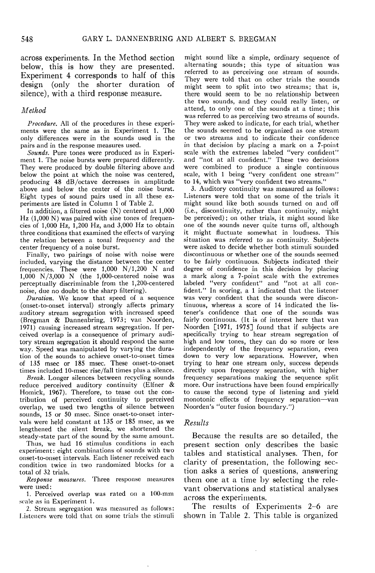across experiments. In the Method section below, this is how they are presented. Experiment 4 corresponds to half of this design (only the shorter duration of silence), with a third response measure.

### *Method*

*Procedure.* All of the procedures in these experiments were the same as in Experiment 1. The only differences were in the sounds used in the pairs and in the response measures used.

*Sounds,* Pure tones were produced as in Experiment 1. The noise bursts were prepared differently. They were produced by double filtering above and below the point at which the noise was centered, producing 48 dB/octave decreases in amplitude above and below the center of the noise burst. Eight types of sound pairs used in all these experiments are listed in Column 1 of Table 2.

In addition, a filtered noise (N) centered at 1,000  $Hz$  (1,000 N) was paired with sine tones of frequencies of 1,000 Hz, 1,200 Hz, and 3,000 Hz to obtain three conditions that examined the effects of varying the relation between a tonal frequency and the center frequency of a noise burst.

Finally, two pairings of noise with noise were included, varying the distance between the center frequencies. These were 1,000 N/1,200 N and 1,000 N/3,000 N (the 1,000-centered noise was perceptually discriminable from the 1,200-centered noise, due no doubt to the sharp filtering).

*Duration.* We know that speed of a sequence (onset-to-onset interval) strongly affects primary auditory stream segregation with increased speed (Bregman & Dannenbring, 1973; van Noorden, 1971) causing increased stream segregation. If perceived overlap is a consequence of primary auditory stream segregation it should respond the same way. Speed was manipulated by varying the duration of the sounds to achieve onset-to-onset times of 135 msec or 185 msec. These onset-to-onset times included 10-msec rise/fall times plus a silence.

*Break.* Longer silences between recycling sounds reduce perceived auditory continuity (Elfner & Homick, 1967). Therefore, to tease out the contribution of perceived continuity to perceived overlap, we used two lengths of silence between sounds, 15 or 50 msec. Since onset-to-onset intervals were held constant at 135 or 185 msec, as we lengthened the silent break, we shortened the steady-state part of the sound by the same amount.

Thus, we had 16 stimulus conditions in each experiment: eight combinations of sounds with two onset-to-onset intervals. Each listener received each condition twice in two randomized blocks for a total of 32 trials.

*Response measures.* Three response measures were used:

1. Perceived overlap was rated on a 100-mm scale as in Experiment 1.

2. Stream segregation was measured as follows: Listeners were told that on some trials the stimuli

might sound like a simple, ordinary sequence of alternating sounds; this type of situation was referred to as perceiving one stream of sounds. They were told that on other trials the sounds might seem to split into two streams; that is, there would seem to be no relationship between the two sounds, and they could really listen, or attend, to only one of the sounds at a time; this was referred to as perceiving two streams of sounds. They were asked to indicate, for each trial, whether the sounds seemed to be organized as one stream or two streams and to indicate their confidence in that decision by placing a mark on a 7-point scale with the extremes labeled "very confident" and "not at all confident." These two decisions were combined to produce a single continuous scale, with 1 being "very confident one stream" to 14, which was "very confident two streams."

3. Auditory continuity was measured as follows: Listeners were told that on some of the trials it might sound like both sounds turned on and off (i.e., discontinuity, rather than continuity, might be perceived); on other trials, it might sound like one of the sounds never quite turns off, although it might fluctuate somewhat in loudness. This situation was referred to as continuity. Subjects were asked to decide whether both stimuli sounded discontinuous or whether one of the sounds seemed to be fairly continuous. Subjects indicated their degree of confidence in this decision by placing a mark along a 7-point scale with the extremes labeled "very confident" and "not at all confident." In scoring, a 1 indicated that the listener was very confident that the sounds were discontinuous, whereas a score of 14 indicated the listener's confidence that one of the sounds was fairly continuous. (It is of interest here that van Noorden [1971, 1975] found that if subjects are specifically trying to hear stream segregation of high and low tones, they can do so more or less independently of the frequency separation, even down to very low separations. However, when trying to hear one stream only, success depends directly upon frequency separation, with higher frequency separations making the sequence split more. Our instructions have been found empirically to cause the second type of listening and yield monotonic effects of frequency separation—van Noorden's "outer fusion boundary.")

#### *Results*

Because the results are so detailed, the present section only describes the basic tables and statistical analyses. Then, for clarity of presentation, the following section asks a series of questions, answering them one at a time by selecting the relevant observations and statistical analyses across the experiments.

The results of Experiments 2-6 are shown in Table 2. This table is organized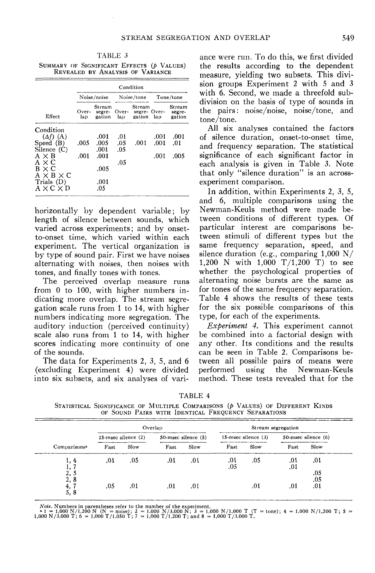SUMMARY OF SIGNIFICANT EFFECTS *(p* VALUES) REVEALED BY ANALYSIS OF VARIANCE

TABLE 3

|                       | Condition    |                            |              |                                 |           |                            |  |  |  |
|-----------------------|--------------|----------------------------|--------------|---------------------------------|-----------|----------------------------|--|--|--|
|                       |              | Noise/noise                |              | Noise/tone                      | Tone/tone |                            |  |  |  |
| Effect                | Over-<br>lan | Stream<br>segre-<br>gation | Over-<br>lap | Stream<br>segre-Over-<br>gation | lap       | Stream<br>segre-<br>gation |  |  |  |
| Condition             |              |                            |              |                                 |           |                            |  |  |  |
| $(\Delta f)$ $(A)$    |              | .001                       | .01          |                                 | .001      | .001                       |  |  |  |
| Speed $(B)$           | .005         | .005                       | .05          | .001                            | .001      | .01                        |  |  |  |
| Silence $(C)$         |              | .001                       | .05          |                                 |           |                            |  |  |  |
| $A \times B$          | .001         | .001                       |              |                                 | .001      | .005                       |  |  |  |
| $A \times C$          |              |                            | .05          |                                 |           |                            |  |  |  |
| $B \times C$          |              | .005                       |              |                                 |           |                            |  |  |  |
| $A \times B \times C$ |              |                            |              |                                 |           |                            |  |  |  |
| Trials $(D)$          |              | .001                       |              |                                 |           |                            |  |  |  |
| $A \times C \times D$ |              | .05                        |              |                                 |           |                            |  |  |  |
|                       |              |                            |              |                                 |           |                            |  |  |  |

horizontally by dependent variable; by length of silence between sounds, which varied across experiments; and by onsetto-onset time, which varied within each experiment. The vertical organization is by type of sound pair. First we have noises alternating with noises, then noises with tones, and finally tones with tones.

The perceived overlap measure runs from 0 to 100, with higher numbers indicating more overlap. The stream segregation scale runs from 1 to 14, with higher numbers indicating more segregation. The auditory induction (perceived continuity) scale also runs from 1 to 14, with higher scores indicating more continuity of one of the sounds.

The data for Experiments 2, 3, 5, and 6 (excluding Experiment 4) were divided into six subsets, and six analyses of vari-

ance were run. To do this, we first divided the results according to the dependent measure, yielding two subsets. This division groups Experiment 2 with 5 and 3 with 6. Second, we made a threefold subdivision on the basis of type of sounds in the pairs: noise/noise, noise/tone, and tone/tone.

All six analyses contained the factors of silence duration, onset-to-onset time, and frequency separation. The statistical significance of each significant factor in each analysis is given in Table 3. Note that only "silence duration" is an acrossexperiment comparison.

In addition, within Experiments 2, 3, 5, and 6, multiple comparisons using the Newman-Keuls method were made between conditions of different types. Of particular interest are comparisons between stimuli of different types but the same frequency separation, speed, and silence duration (e.g., comparing  $1,000 \text{ N}$ / 1,200 N with 1,000 T/1,200 T) to see whether the psychological properties of alternating noise bursts are the same as for tones of the same frequency separation. Table 4 shows the results of these tests for the six possible comparisons of this type, for each of the experiments.

*Experiment 4.* This experiment cannot be combined into a factorial design with any other. Its conditions and the results can be seen in Table 2. Comparisons between all possible pairs of means were<br>performed using the Newman-Keuls Newman-Keuls method. These tests revealed that for the

TABLE 4

STATISTICAL SIGNIFICANCE OF MULTIPLE COMPARISONS *(p* VALUES) OF DIFFERENT KINDS OF SOUND PAIRS WITH IDENTICAL FREQUENCY SEPARATIONS

| Comparisons <sup>8</sup> | Overlap             |      |                          | Stream segregation |                     |      |                     |            |
|--------------------------|---------------------|------|--------------------------|--------------------|---------------------|------|---------------------|------------|
|                          | 15-msec silence (2) |      | $50$ -msec silence $(5)$ |                    | 15-msec silence (3) |      | 50-msec silence (6) |            |
|                          | Fast                | Slow | Fast                     | Slow               | Fast                | Slow | Fast                | Slow       |
| 1, 4<br>1, 7<br>2, 5     | .01                 | .05  | .01                      | .01                | .01<br>.05          | .05  | .01<br>.01          | .01<br>.05 |
| 2,8<br>4,7<br>5, 8       | .05                 | .01  | .01                      | .01                |                     | .01  | .01                 | .05<br>.01 |

*Note*. Numbers in parentheses refer to the number of the experiment.<br>\* 1 = 1,000 N/1,200 N (N = noise); 2 = 1,000 N/3,000 N; 3 = 1,000 N/1,000 T (T = tone); 4 = 1,000 N/1,200 T; 5<br>1,000 N/3,000 T; 6 = 1,000 T/1,050 T; 7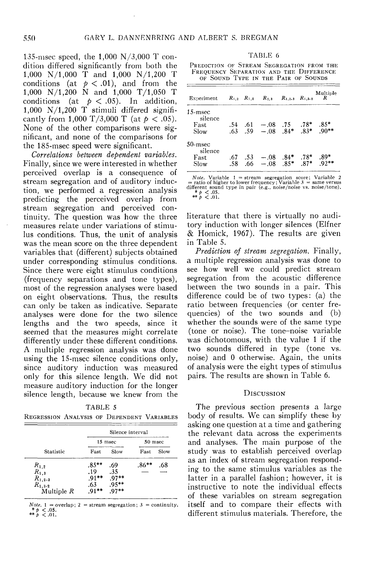135-msec speed, the 1,000 N/3,000 T condition differed significantly from both the 1,000 N/1,000 T and 1,000 N/1,200 T conditions (at  $p < .01$ ), and from the 1,000 N/1,200 N and 1,000 T/1,050 T conditions (at  $p < .05$ ). In addition, 1,000 N/1,200 T stimuli differed significantly from 1,000 T/3,000 T (at *p <* .05). None of the other comparisons were significant, and none of the comparisons for the 185-msec speed were significant.

*Correlations between dependent variables.* Finally, since we were interested in whether perceived overlap is a consequence of stream segregation and of auditory induction, we performed a regression analysis predicting the perceived overlap from stream segregation and perceived continuity. The question was how the three measures relate under variations of stimulus conditions. Thus, the unit of analysis was the mean score on the three dependent variables that (different) subjects obtained under corresponding stimulus conditions. Since there were eight stimulus conditions (frequency separations and tone types), most of the regression analyses were based on eight observations. Thus, the results can only be taken as indicative. Separate analyses were done for the two silence lengths and the two speeds, since it seemed that the measures might correlate differently under these different conditions. A multiple regression analysis was done using the 15-msec silence conditions only, since auditory induction was measured only for this silence length. We did not measure auditory induction for the longer silence length, because we knew from the

TABLE 5

| REGRESSION ANALYSIS OF DEPENDENT VARIABLES |  |
|--------------------------------------------|--|
|--------------------------------------------|--|

|                                         | Silence interval      |                 |          |      |  |  |  |
|-----------------------------------------|-----------------------|-----------------|----------|------|--|--|--|
|                                         |                       | 15 msec         | 50 msec  |      |  |  |  |
| Statistic                               | Fast                  | Slow            | Fast     | Slow |  |  |  |
| $R_{1,2}$                               | $.85***$              | .69             | $0.86**$ | .68  |  |  |  |
| $R_{1,3}$<br>$R_{1,2,3}$<br>$R_{1,3,2}$ | .19<br>$.91**$<br>.63 | .35<br>$.95***$ |          |      |  |  |  |
| Multiple $R$                            |                       |                 |          |      |  |  |  |

*Note.*  $1 =$  overlap;  $2 =$  stream segregation;  $3 =$  continuity.  $*^{*} p \leq .05.$ <br>\*\*  $p < .01.$ 

TABLE 6

PREDICTION OF STREAM SEGREGATION FROM THE FREQUENCY SEPARATION AND THE DIFFERENCE OF SOUND TYPE IN THE PAIR OF SOUNDS

| Experiment $R_{1,2}$ $R_{1,3}$ $R_{2,3}$ $R_{1,2,3}$ $R_{1,3,2}$ |     |                                                                                                          |  | Multiple<br>R |
|------------------------------------------------------------------|-----|----------------------------------------------------------------------------------------------------------|--|---------------|
| 15-msec<br>silence<br>Fast<br>Slow                               |     | $.54 \quad .61 \quad -.08 \quad .75 \quad .78^* \quad .85^*$<br>$.63$ $.59$ $-.08$ $.84*$ $.83*$ $.90**$ |  |               |
| 50-msec<br>silence<br>Fast<br>Slow                               | .58 | $.67$ $.53$ $-.08$ $.84*$ $.78*$<br>$.66 - .08$ $.85^*$ $.87^*$ $.92^{**}$                               |  | $.89*$        |

*Note*. Variable 1 = stream segregation score; Variable 2<br>= ratio of higher to lower frequency; Variable 3 = same versus<br>different sound type in pair (e.g., noise/noise vs. noise/tone).  $*^{*} p \leq .05$ .<br>\*\*  $p < .01$ .

literature that there is virtually no auditory induction with longer silences (Elfner & Homick, 1967). The results are given in Table 5.

*Prediction of stream segregation.* Finally, a multiple regression analysis was done to see how well we could predict stream segregation from the acoustic difference between the two sounds in a pair. This difference could be of two types: (a) the ratio between frequencies (or center frequencies) of the two sounds and (b) whether the sounds were of the same type (tone or noise). The tone-noise variable was dichotomous, with the value 1 if the two sounds differed in type (tone vs. noise) and 0 otherwise. Again, the units of analysis were the eight types of stimulus pairs. The results are shown in Table 6.

#### **DISCUSSION**

The previous section presents a large body of results. We can simplify these by asking one question at a time and gathering the relevant data across the experiments and analyses. The main purpose of the study was to establish perceived overlap as an index of stream segregation responding to the same stimulus variables as the latter in a parallel fashion; however, it is instructive to note the individual effects of these variables on stream segregation itself and to compare their effects with different stimulus materials. Therefore, the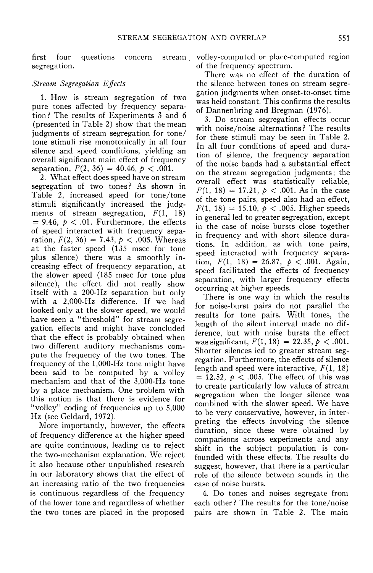first four questions concern stream segregation.

# *Stream Segregation Effects*

1. How is stream segregation of two pure tones affected by frequency separation? The results of Experiments 3 and 6 (presented in Table 2) show that the mean judgments of stream segregation for tone/ tone stimuli rise monotonically in all four silence and speed conditions, yielding an overall significant main effect of frequency separation,  $F(2, 36) = 40.46, p < .001$ .

2. What effect does speed have on stream segregation of two tones? As shown in Table 2, increased speed for tone/tone stimuli significantly increased the judgments of stream segregation,  $F(1, 18)$  $= 9.46, p < .01.$  Furthermore, the effects of speed interacted with frequency separation,  $F(2, 36) = 7.43, p < .005$ . Whereas at the faster speed  $(135$  msec for tone plus silence) there was a smoothly increasing effect of frequency separation, at the slower speed (185 msec for tone plus silence), the effect did not really show itself with a 200-Hz separation but only with a 2,000-Hz difference. If we had looked only at the slower speed, we would have seen a "threshold" for stream segregation effects and might have concluded that the effect is probably obtained when two different auditory mechanisms compute the frequency of the two tones. The frequency of the 1,000-Hz tone might have been said to be computed by a volley mechanism and that of the 3,000-Hz tone by a place mechanism. One problem with this notion is that there is evidence for "volley" coding of frequencies up to 5,000 Hz (see Geldard, 1972).

More importantly, however, the effects of frequency difference at the higher speed are quite continuous, leading us to reject the two-mechanism explanation. We reject it also because other unpublished research in our laboratory shows that the effect of an increasing ratio of the two frequencies is continuous regardless of the frequency of the lower tone and regardless of whether the two tones are placed in the proposed volley-computed or place-computed region of the frequency spectrum.

There was no effect of the duration of the silence between tones on stream segregation judgments when onset-to-onset time was held constant. This confirms the results of Dannenbring and Bregman (1976).

3. Do stream segregation effects occur with noise/noise alternations? The results for these stimuli may be seen in Table 2. In all four conditions of speed and duration of silence, the frequency separation of the noise bands had a substantial effect on the stream segregation judgments; the overall effect was statistically reliable,  $F(1, 18) = 17.21, p < .001$ . As in the case of the tone pairs, speed also had an effect,  $F(1, 18) = 15.10, p < .005$ . Higher speeds in general led to greater segregation, except in the case of noise bursts close together in frequency and with short silence durations. In addition, as with tone pairs, speed interacted with frequency separation,  $F(1, 18) = 26.87$ ,  $p < .001$ . Again, speed facilitated the effects of frequency separation, with larger frequency effects occurring at higher speeds.

There is one way in which the results for noise-burst pairs do not parallel the results for tone pairs. With tones, the length of the silent interval made no difference, but with noise bursts the effect was significant,  $F(1, 18) = 22.35, p < .001$ . Shorter silences led to greater stream segregation. Furthermore, the effects of silence length and speed were interactive, *F(l,* 18)  $= 12.52, p < .005$ . The effect of this was to create particularly low values of stream segregation when the longer silence was combined with the slower speed. We have to be very conservative, however, in interpreting the effects involving the silence duration, since these were obtained by comparisons across experiments and any shift in the subject population is confounded with these effects. The results do suggest, however, that there is a particular role of the silence between sounds in the case of noise bursts.

4. Do tones and noises segregate from each other? The results for the tone/noise pairs are shown in Table 2. The main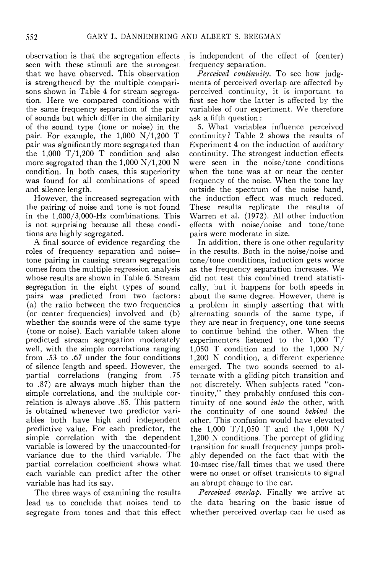observation is that the segregation effects seen with these stimuli are the strongest that we have observed. This observation is strengthened by the multiple comparisons shown in Table 4 for stream segregation. Here we compared conditions with the same frequency separation of the pair of sounds but which differ in the similarity of the sound type (tone or noise) in the pair. For example, the  $1,000$  N/1,200 T pair was significantly more segregated than the 1,000  $T/1,200$  T condition and also more segregated than the 1,000 N/1,200 N condition. In both cases, this superiority was found for all combinations of speed and silence length.

However, the increased segregation with the pairing of noise and tone is not found in the 1,000/3,000-Hz combinations. This is not surprising because all these conditions are highly segregated.

A final source of evidence regarding the roles of frequency separation and noisetone pairing in causing stream segregation comes from the multiple regression analysis whose results are shown in Table 6. Stream segregation in the eight types of sound pairs was predicted from two factors: (a) the ratio between the two frequencies (or center frequencies) involved and (b) whether the sounds were of the same type (tone or noise). Each variable taken alone predicted stream segregation moderately well, with the simple correlations ranging from .53 to .67 under the four conditions of silence length and speed. However, the partial correlations (ranging from .75 to .87) are always much higher than the simple correlations, and the multiple correlation is always above .85. This pattern is obtained whenever two predictor variables both have high and independent predictive value. For each predictor, the simple correlation with the dependent variable is lowered by the unaccounted-for variance due to the third variable. The partial correlation coefficient shows what each variable can predict after the other variable has had its say.

The three ways of examining the results lead us to conclude that noises tend to segregate from tones and that this effect is independent of the effect of (center) frequency separation.

*Perceived continuity.* To see how judgments of perceived overlap are affected by perceived continuity, it is important to first see how the latter is affected by the variables of our experiment. We therefore ask a fifth question :

5. What variables influence perceived continuity? Table 2 shows the results of Experiment 4 on the induction of auditory continuity. The strongest induction effects were seen in the noise/tone conditions when the tone was at or near the center frequency of the noise. When the tone lay outside the spectrum of the noise band, the induction effect was much reduced. These results replicate the results of Warren et al. (1972). All other induction effects with noise/noise and tone/tone pairs were moderate in size.

In addition, there is one other regularity in the results. Both in the noise/noise and tone/tone conditions, induction gets worse as the frequency separation increases. We did not test this combined trend statistically, but it happens for both speeds in about the same degree. However, there is a problem in simply asserting that with alternating sounds of the same type, if they are near in frequency, one tone seems to continue behind the other. When the experimenters listened to the  $1,000$  T/ 1,050 T condition and to the 1,000 N/ 1,200 N condition, a different experience emerged. The two sounds seemed to alternate with a gliding pitch transition and not discretely. When subjects rated "continuity," they probably confused this continuity of one sound *into* the other, with the continuity of one sound *behind* the other. This confusion would have elevated the 1,000 T/1,050 T and the 1,000 N/ 1,200 N conditions. The percept of gliding transition for small frequency jumps probably depended on the fact that with the 10-msec rise/fall times that we used there were no onset or offset transients to signal an abrupt change to the ear.

*Perceived overlap.* Finally we arrive at the data bearing on the basic issue of whether perceived overlap can be used as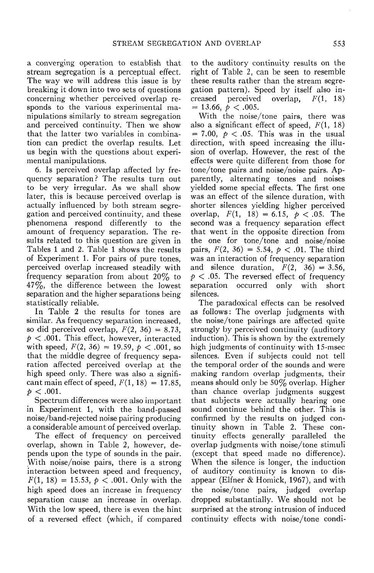a converging operation to establish that stream segregation is a perceptual effect. The way we will address this issue is by breaking it down into two sets of questions concerning whether perceived overlap responds to the various experimental manipulations similarly to stream segregation and perceived continuity. Then we show that the latter two variables in combination can predict the overlap results. Let us begin with the questions about experimental manipulations.

6. Is perceived overlap affected by frequency separation? The results turn out to be very irregular. As we shall show later, this is because perceived overlap is actually influenced by both stream segregation and perceived continuity, and these phenomena respond differently to the amount of frequency separation. The results related to this question are given in Tables 1 and 2. Table 1 shows the results of Experiment 1. For pairs of pure tones, perceived overlap increased steadily with frequency separation from about  $20\%$  to  $47\%$ , the difference between the lowest separation and the higher separations being statistically reliable.

In Table 2 the results for tones are similar. As frequency separation increased, so did perceived overlap,  $F(2, 36) = 8.73$ ,  $p < .001$ . This effect, however, interacted with speed,  $F(2, 36) = 19.59, p < .001$ , so that the middle degree of frequency separation affected perceived overlap at the high speed only. There was also a significant main effect of speed,  $F(1, 18) = 17.85$ ,  $p < .001$ .

Spectrum differences were also important in Experiment 1, with the band-passed noise/band-rejected noise pairing producing a considerable amount of perceived overlap.

The effect of frequency on perceived overlap, shown in Table 2, however, depends upon the type of sounds in the pair. With noise/noise pairs, there is a strong interaction between speed and frequency,  $F(1, 18) = 15.53, p < .001$ . Only with the high speed does an increase in frequency separation cause an increase in overlap. With the low speed, there is even the hint of a reversed effect (which, if compared to the auditory continuity results on the right of Table 2, can be seen to resemble these results rather than the stream segregation pattern). Speed by itself also increased perceived overlap, *F(l ,* 18)  $= 13.66, p < .005.$ 

With the noise/tone pairs, there was also a significant effect of speed, *F(l,* 18)  $= 7.00, p < .05$ . This was in the usual direction, with speed increasing the illusion of overlap. However, the rest of the effects were quite different from those for tone/tone pairs and noise/noise pairs. Apparently, alternating tones and noises yielded some special effects. The first one was an effect of the silence duration, with shorter silences yielding higher perceived overlap,  $F(1, 18) = 6.15, p < .05$ . The second was a frequency separation effect that went in the opposite direction from the one for tone/tone and noise/noise pairs,  $F(2, 36) = 5.54, p < .01$ . The third was an interaction of frequency separation and silence duration,  $F(2, 36) = 3.56$ , *p <* .05. The reversed effect of frequency separation occurred only with short silences.

The paradoxical effects can be resolved as follows: The overlap judgments with the noise/tone pairings are affected quite strongly by perceived continuity (auditory induction). This is shown by the extremely high judgments of continuity with 15-msec silences. Even if subjects could not tell the temporal order of the sounds and were making random overlap judgments, their means should only be  $50\%$  overlap. Higher than chance overlap judgments suggest that subjects were actually hearing one sound continue behind the other. This is confirmed by the results on judged continuity shown in Table 2. These continuity effects generally paralleled the overlap judgments with noise/tone stimuli (except that speed made no difference). When the silence is longer, the induction of auditory continuity is known to disappear (Elfner & Homick, 1967), and with the noise/tone pairs, judged overlap dropped substantially. We should not be surprised at the strong intrusion of induced continuity effects with noise/tone condi-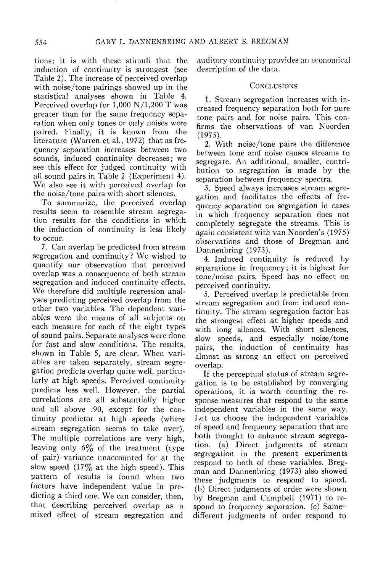tions; it is with these stimuli that the induction of continuity is strongest (see Table 2). The increase of perceived overlap with noise/tone pairings showed up in the statistical analyses shown in Table 4. Perceived overlap for 1,000 N/1,200 T was greater than for the same frequency separation when only tones or only noises were paired. Finally, it is known from the literature (Warren et al., 1972) that as frequency separation increases between two sounds, induced continuity decreases; we see this effect for judged continuity with all sound pairs in Table 2 (Experiment 4). We also see it with perceived overlap for the noise/tone pairs with short silences.

To summarize, the perceived overlap results seem to resemble stream segregation results for the conditions in which the induction of continuity is less likely to occur.

7. Can overlap be predicted from stream segregation and continuity? We wished to quantify our observation that perceived overlap was a consequence of both stream segregation and induced continuity effects. We therefore did multiple regression analyses predicting perceived overlap from the other two variables. The dependent variables were the means of all subjects on each measure for each of the eight types of sound pairs. Separate analyses were done for fast and slow conditions. The results, shown in Table 5, are clear. When variables are taken separately, stream segregation predicts overlap quite well, particularly at high speeds. Perceived continuity predicts less well. However, the partial correlations are all substantially higher and all above .90, except for the continuity predictor at high speeds (where stream segregation seems to take over). The multiple correlations are very high, leaving only  $6\%$  of the treatment (type of pair) variance unaccounted for at the slow speed  $(17\%$  at the high speed). This pattern of results is found when two factors have independent value in predicting a third one. We can consider, then, that describing perceived overlap as a mixed effect of stream segregation and

auditory continuity provides an economical description of the data.

# **CONCLUSIONS**

1. Stream segregation increases with increased frequency separation both for pure tone pairs and for noise pairs. This confirms the observations of van Noorden (1975).

2. With noise/tone pairs the difference between tone and noise causes streams to segregate. An additional, smaller, contribution to segregation is made by the separation between frequency spectra.

3. Speed always increases stream segregation and facilitates the effects of frequency separation on segregation in cases in which frequency separation does not completely segregate the streams. This is again consistent with van Noorden's (1975) observations and those of Bregman and Dannenbring (1973).

4. Induced continuity is reduced by separations in frequency; it is highest for tone/noise pairs. Speed has no effect on perceived continuity.

5. Perceived overlap is predictable from stream segregation and from induced continuity. The stream segregation factor has the strongest effect at higher speeds and with long silences. With short silences, slow speeds, and especially noise/tone pairs, the induction of continuity has almost as strong an effect on perceived overlap.

If the perceptual status of stream segregation is to be established by converging operations, it is worth counting the response measures that respond to the same independent variables in the same way. Let us choose the independent variables of speed and frequency separation that are both thought to enhance stream segregation, (a) Direct judgments of stream segregation in the present experiments respond to both of these variables. Bregman and Dannenbring (1973) also showed these judgments to respond to speed. (b) Direct judgments of order were shown by Bregman and Campbell (1971) to respond to frequency separation, (c) Samedifferent judgments of order respond to